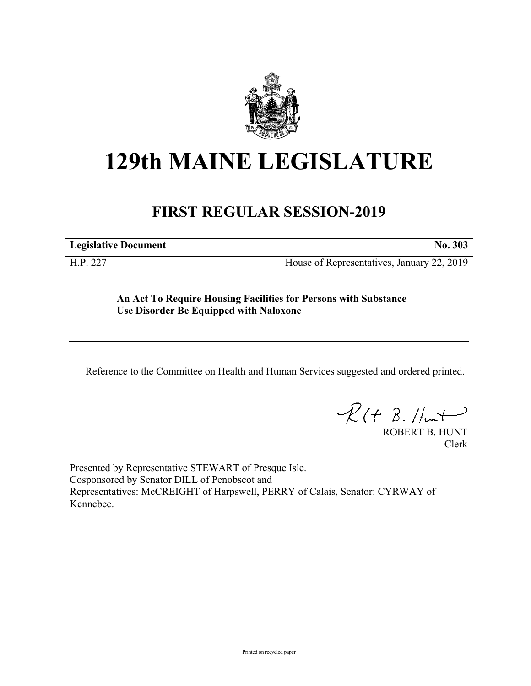

## **129th MAINE LEGISLATURE**

## **FIRST REGULAR SESSION-2019**

**Legislative Document No. 303**

H.P. 227 House of Representatives, January 22, 2019

**An Act To Require Housing Facilities for Persons with Substance Use Disorder Be Equipped with Naloxone**

Reference to the Committee on Health and Human Services suggested and ordered printed.

 $R(t B. Hmt)$ 

ROBERT B. HUNT Clerk

Presented by Representative STEWART of Presque Isle. Cosponsored by Senator DILL of Penobscot and Representatives: McCREIGHT of Harpswell, PERRY of Calais, Senator: CYRWAY of Kennebec.